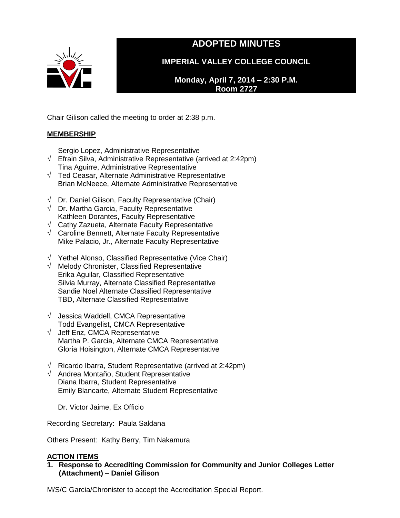

# **ADOPTED MINUTES**

**IMPERIAL VALLEY COLLEGE COUNCIL**

**Monday, April 7, 2014 – 2:30 P.M. Room 2727**

Chair Gilison called the meeting to order at 2:38 p.m.

## **MEMBERSHIP**

Sergio Lopez, Administrative Representative

- √ Efrain Silva, Administrative Representative (arrived at 2:42pm) Tina Aguirre, Administrative Representative
- √ Ted Ceasar, Alternate Administrative Representative Brian McNeece, Alternate Administrative Representative
- $\sqrt{ }$  Dr. Daniel Gilison, Faculty Representative (Chair)
- $\sqrt{ }$  Dr. Martha Garcia, Faculty Representative Kathleen Dorantes, Faculty Representative
- $\sqrt{ }$  Cathy Zazueta, Alternate Faculty Representative
- √ Caroline Bennett, Alternate Faculty Representative Mike Palacio, Jr., Alternate Faculty Representative
- √ Yethel Alonso, Classified Representative (Vice Chair)
- √ Melody Chronister, Classified Representative Erika Aguilar, Classified Representative Silvia Murray, Alternate Classified Representative Sandie Noel Alternate Classified Representative TBD, Alternate Classified Representative
- $\sqrt{\phantom{a}}$  Jessica Waddell, CMCA Representative Todd Evangelist, CMCA Representative
- √ Jeff Enz, CMCA Representative Martha P. Garcia, Alternate CMCA Representative Gloria Hoisington, Alternate CMCA Representative
- √ Ricardo Ibarra, Student Representative (arrived at 2:42pm)
- √ Andrea Montaño, Student Representative Diana Ibarra, Student Representative Emily Blancarte, Alternate Student Representative

Dr. Victor Jaime, Ex Officio

Recording Secretary: Paula Saldana

Others Present: Kathy Berry, Tim Nakamura

## **ACTION ITEMS**

**1. Response to Accrediting Commission for Community and Junior Colleges Letter (Attachment) – Daniel Gilison**

M/S/C Garcia/Chronister to accept the Accreditation Special Report.